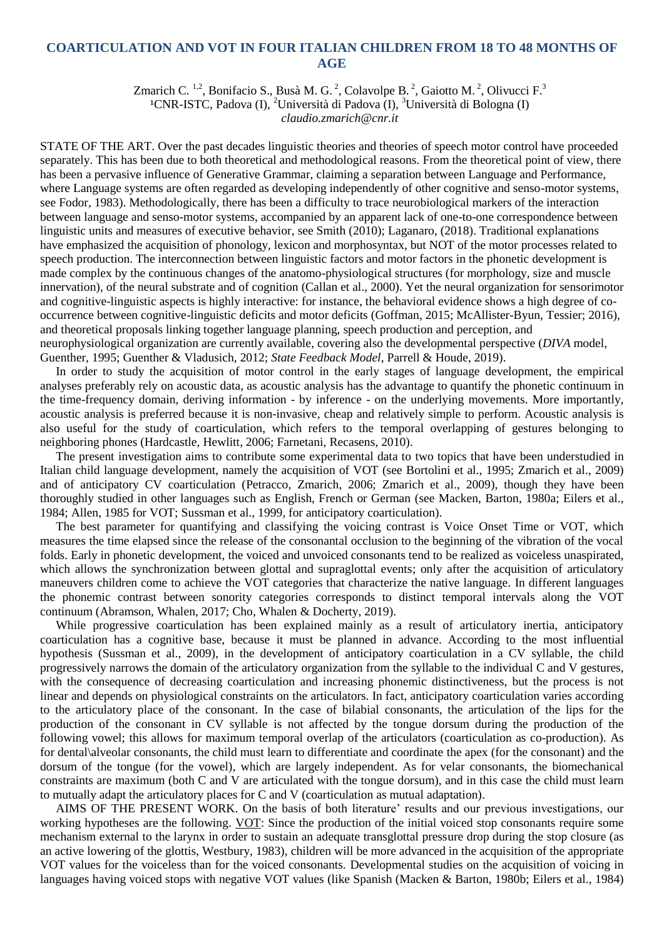## **COARTICULATION AND VOT IN FOUR ITALIAN CHILDREN FROM 18 TO 48 MONTHS OF AGE**

Zmarich C.  $^{1,2}$ , Bonifacio S., Busà M. G.<sup>2</sup>, Colavolpe B.<sup>2</sup>, Gaiotto M.<sup>2</sup>, Olivucci F.<sup>3</sup> <sup>1</sup>CNR-ISTC, Padova (I), <sup>2</sup>Università di Padova (I), <sup>3</sup>Università di Bologna (I) *claudio.zmarich@cnr.it*

STATE OF THE ART. Over the past decades linguistic theories and theories of speech motor control have proceeded separately. This has been due to both theoretical and methodological reasons. From the theoretical point of view, there has been a pervasive influence of Generative Grammar, claiming a separation between Language and Performance, where Language systems are often regarded as developing independently of other cognitive and senso-motor systems, see Fodor, 1983). Methodologically, there has been a difficulty to trace neurobiological markers of the interaction between language and senso-motor systems, accompanied by an apparent lack of one-to-one correspondence between linguistic units and measures of executive behavior, see Smith (2010); Laganaro, (2018). Traditional explanations have emphasized the acquisition of phonology, lexicon and morphosyntax, but NOT of the motor processes related to speech production. The interconnection between linguistic factors and motor factors in the phonetic development is made complex by the continuous changes of the anatomo-physiological structures (for morphology, size and muscle innervation), of the neural substrate and of cognition (Callan et al., 2000). Yet the neural organization for sensorimotor and cognitive-linguistic aspects is highly interactive: for instance, the behavioral evidence shows a high degree of cooccurrence between cognitive-linguistic deficits and motor deficits (Goffman, 2015; McAllister-Byun, Tessier; 2016), and theoretical proposals linking together language planning, speech production and perception, and neurophysiological organization are currently available, covering also the developmental perspective (*DIVA* model,

Guenther, 1995; Guenther & Vladusich, 2012; *State Feedback Model*, Parrell & Houde, 2019).

In order to study the acquisition of motor control in the early stages of language development, the empirical analyses preferably rely on acoustic data, as acoustic analysis has the advantage to quantify the phonetic continuum in the time-frequency domain, deriving information - by inference - on the underlying movements. More importantly, acoustic analysis is preferred because it is non-invasive, cheap and relatively simple to perform. Acoustic analysis is also useful for the study of coarticulation, which refers to the temporal overlapping of gestures belonging to neighboring phones (Hardcastle, Hewlitt, 2006; Farnetani, Recasens, 2010).

The present investigation aims to contribute some experimental data to two topics that have been understudied in Italian child language development, namely the acquisition of VOT (see Bortolini et al., 1995; Zmarich et al., 2009) and of anticipatory CV coarticulation (Petracco, Zmarich, 2006; Zmarich et al., 2009), though they have been thoroughly studied in other languages such as English, French or German (see Macken, Barton, 1980a; Eilers et al., 1984; Allen, 1985 for VOT; Sussman et al., 1999, for anticipatory coarticulation).

The best parameter for quantifying and classifying the voicing contrast is Voice Onset Time or VOT, which measures the time elapsed since the release of the consonantal occlusion to the beginning of the vibration of the vocal folds. Early in phonetic development, the voiced and unvoiced consonants tend to be realized as voiceless unaspirated, which allows the synchronization between glottal and supraglottal events; only after the acquisition of articulatory maneuvers children come to achieve the VOT categories that characterize the native language. In different languages the phonemic contrast between sonority categories corresponds to distinct temporal intervals along the VOT continuum (Abramson, Whalen, 2017; Cho, Whalen & Docherty, 2019).

While progressive coarticulation has been explained mainly as a result of articulatory inertia, anticipatory coarticulation has a cognitive base, because it must be planned in advance. According to the most influential hypothesis (Sussman et al., 2009), in the development of anticipatory coarticulation in a CV syllable, the child progressively narrows the domain of the articulatory organization from the syllable to the individual C and V gestures, with the consequence of decreasing coarticulation and increasing phonemic distinctiveness, but the process is not linear and depends on physiological constraints on the articulators. In fact, anticipatory coarticulation varies according to the articulatory place of the consonant. In the case of bilabial consonants, the articulation of the lips for the production of the consonant in CV syllable is not affected by the tongue dorsum during the production of the following vowel; this allows for maximum temporal overlap of the articulators (coarticulation as co-production). As for dental\alveolar consonants, the child must learn to differentiate and coordinate the apex (for the consonant) and the dorsum of the tongue (for the vowel), which are largely independent. As for velar consonants, the biomechanical constraints are maximum (both C and V are articulated with the tongue dorsum), and in this case the child must learn to mutually adapt the articulatory places for C and V (coarticulation as mutual adaptation).

AIMS OF THE PRESENT WORK. On the basis of both literature' results and our previous investigations, our working hypotheses are the following. VOT: Since the production of the initial voiced stop consonants require some mechanism external to the larynx in order to sustain an adequate transglottal pressure drop during the stop closure (as an active lowering of the glottis, Westbury, 1983), children will be more advanced in the acquisition of the appropriate VOT values for the voiceless than for the voiced consonants. Developmental studies on the acquisition of voicing in languages having voiced stops with negative VOT values (like Spanish (Macken & Barton, 1980b; Eilers et al., 1984)